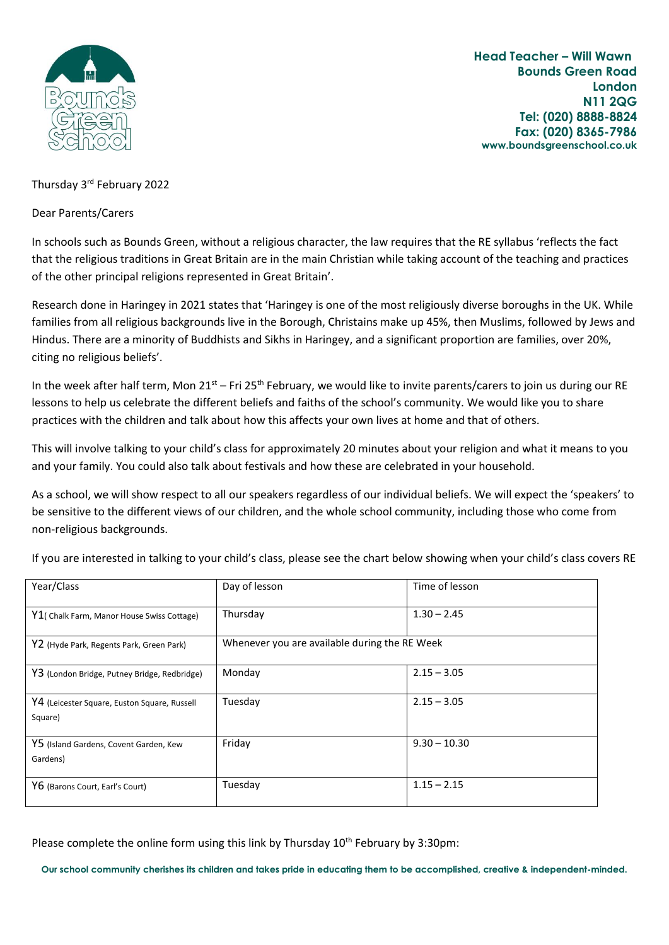

 **Head Teacher – Will Wawn Bounds Green Road London N11 2QG Tel: (020) 8888-8824 Fax: (020) 8365-7986 www.boundsgreenschool.co.uk**

## Thursday 3rd February 2022

Dear Parents/Carers

In schools such as Bounds Green, without a religious character, the law requires that the RE syllabus 'reflects the fact that the religious traditions in Great Britain are in the main Christian while taking account of the teaching and practices of the other principal religions represented in Great Britain'.

Research done in Haringey in 2021 states that 'Haringey is one of the most religiously diverse boroughs in the UK. While families from all religious backgrounds live in the Borough, Christains make up 45%, then Muslims, followed by Jews and Hindus. There are a minority of Buddhists and Sikhs in Haringey, and a significant proportion are families, over 20%, citing no religious beliefs'.

In the week after half term, Mon  $21^{st}$  – Fri 25<sup>th</sup> February, we would like to invite parents/carers to join us during our RE lessons to help us celebrate the different beliefs and faiths of the school's community. We would like you to share practices with the children and talk about how this affects your own lives at home and that of others.

This will involve talking to your child's class for approximately 20 minutes about your religion and what it means to you and your family. You could also talk about festivals and how these are celebrated in your household.

As a school, we will show respect to all our speakers regardless of our individual beliefs. We will expect the 'speakers' to be sensitive to the different views of our children, and the whole school community, including those who come from non-religious backgrounds.

| Year/Class                                              | Day of lesson                                 | Time of lesson |
|---------------------------------------------------------|-----------------------------------------------|----------------|
| Y1( Chalk Farm, Manor House Swiss Cottage)              | Thursday                                      | $1.30 - 2.45$  |
| Y2 (Hyde Park, Regents Park, Green Park)                | Whenever you are available during the RE Week |                |
| Y3 (London Bridge, Putney Bridge, Redbridge)            | Monday                                        | $2.15 - 3.05$  |
| Y4 (Leicester Square, Euston Square, Russell<br>Square) | Tuesday                                       | $2.15 - 3.05$  |
| Y5 (Island Gardens, Covent Garden, Kew<br>Gardens)      | Friday                                        | $9.30 - 10.30$ |
| Y6 (Barons Court, Earl's Court)                         | Tuesday                                       | $1.15 - 2.15$  |

If you are interested in talking to your child's class, please see the chart below showing when your child's class covers RE

Please complete the online form using this link by Thursday  $10<sup>th</sup>$  February by 3:30pm:

**Our school community cherishes its children and takes pride in educating them to be accomplished, creative & independent-minded.**